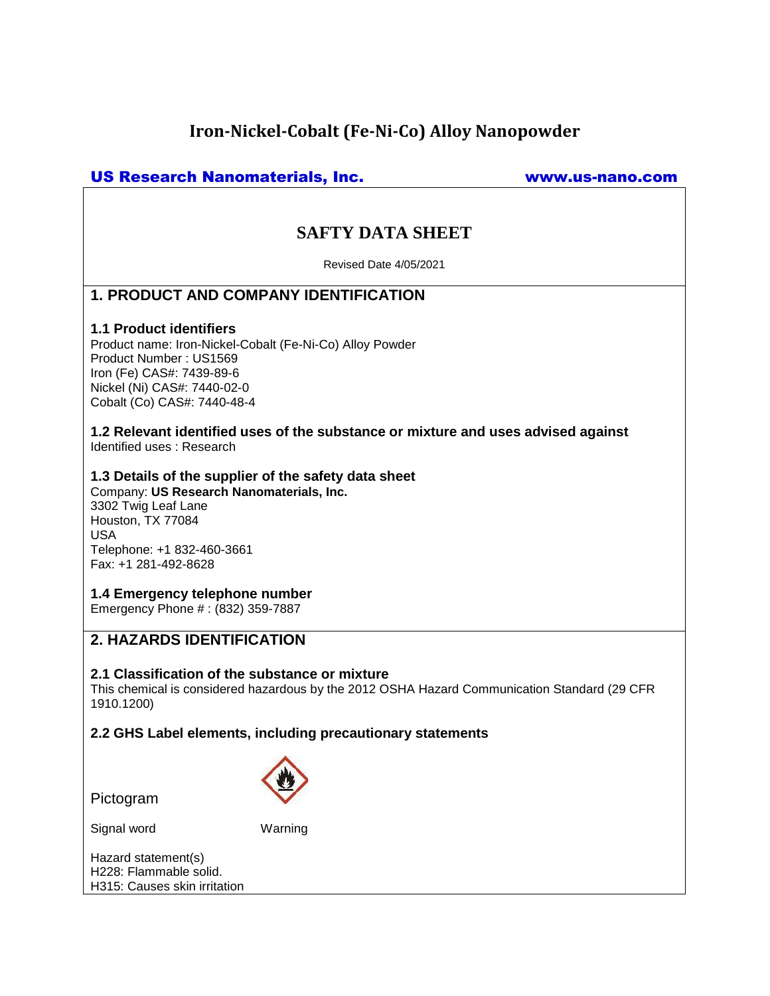# **Iron-Nickel-Cobalt (Fe-Ni-Co) Alloy Nanopowder**

# US Research Nanomaterials, Inc. www.us-nano.com

# **SAFTY DATA SHEET**

Revised Date 4/05/2021

# **1. PRODUCT AND COMPANY IDENTIFICATION**

#### **1.1 Product identifiers**

Product name: Iron-Nickel-Cobalt (Fe-Ni-Co) Alloy Powder Product Number : US1569 Iron (Fe) CAS#: 7439-89-6 Nickel (Ni) CAS#: 7440-02-0 Cobalt (Co) CAS#: 7440-48-4

**1.2 Relevant identified uses of the substance or mixture and uses advised against** Identified uses : Research

#### **1.3 Details of the supplier of the safety data sheet**

Company: **US Research Nanomaterials, Inc.** 3302 Twig Leaf Lane Houston, TX 77084 USA Telephone: +1 832-460-3661 Fax: +1 281-492-8628

#### **1.4 Emergency telephone number**

Emergency Phone # : (832) 359-7887

# **2. HAZARDS IDENTIFICATION**

#### **2.1 Classification of the substance or mixture**

This chemical is considered hazardous by the 2012 OSHA Hazard Communication Standard (29 CFR 1910.1200)

**2.2 GHS Label elements, including precautionary statements**

Pictogram



Signal word Warning

Hazard statement(s) H228: Flammable solid. H315: Causes skin irritation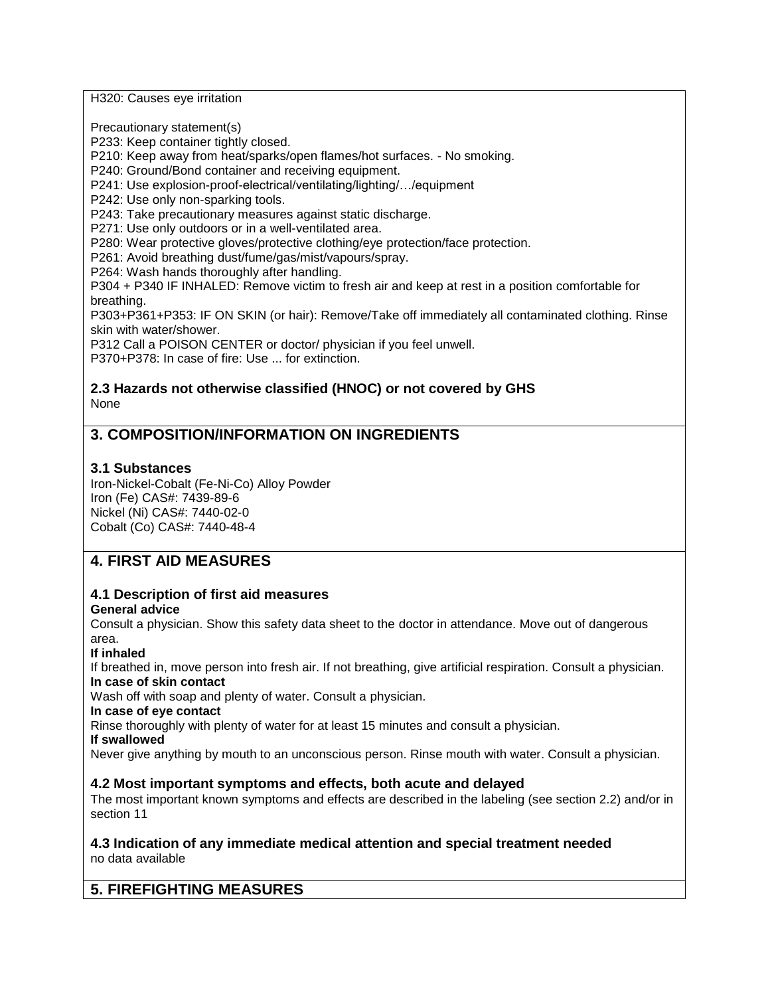H320: Causes eye irritation

Precautionary statement(s)

P233: Keep container tightly closed.

P210: Keep away from heat/sparks/open flames/hot surfaces. - No smoking.

P240: Ground/Bond container and receiving equipment.

P241: Use explosion-proof-electrical/ventilating/lighting/…/equipment

P242: Use only non-sparking tools.

P243: Take precautionary measures against static discharge.

P271: Use only outdoors or in a well-ventilated area.

P280: Wear protective gloves/protective clothing/eye protection/face protection.

P261: Avoid breathing dust/fume/gas/mist/vapours/spray.

P264: Wash hands thoroughly after handling.

P304 + P340 IF INHALED: Remove victim to fresh air and keep at rest in a position comfortable for breathing.

P303+P361+P353: IF ON SKIN (or hair): Remove/Take off immediately all contaminated clothing. Rinse skin with water/shower.

P312 Call a POISON CENTER or doctor/ physician if you feel unwell.

P370+P378: In case of fire: Use ... for extinction.

### **2.3 Hazards not otherwise classified (HNOC) or not covered by GHS** None

# **3. COMPOSITION/INFORMATION ON INGREDIENTS**

### **3.1 Substances**

Iron-Nickel-Cobalt (Fe-Ni-Co) Alloy Powder Iron (Fe) CAS#: 7439-89-6 Nickel (Ni) CAS#: 7440-02-0 Cobalt (Co) CAS#: 7440-48-4

# **4. FIRST AID MEASURES**

#### **4.1 Description of first aid measures General advice**

Consult a physician. Show this safety data sheet to the doctor in attendance. Move out of dangerous area.

#### **If inhaled**

If breathed in, move person into fresh air. If not breathing, give artificial respiration. Consult a physician. **In case of skin contact**

Wash off with soap and plenty of water. Consult a physician.

**In case of eye contact**

Rinse thoroughly with plenty of water for at least 15 minutes and consult a physician.

**If swallowed**

Never give anything by mouth to an unconscious person. Rinse mouth with water. Consult a physician.

## **4.2 Most important symptoms and effects, both acute and delayed**

The most important known symptoms and effects are described in the labeling (see section 2.2) and/or in section 11

#### **4.3 Indication of any immediate medical attention and special treatment needed** no data available

# **5. FIREFIGHTING MEASURES**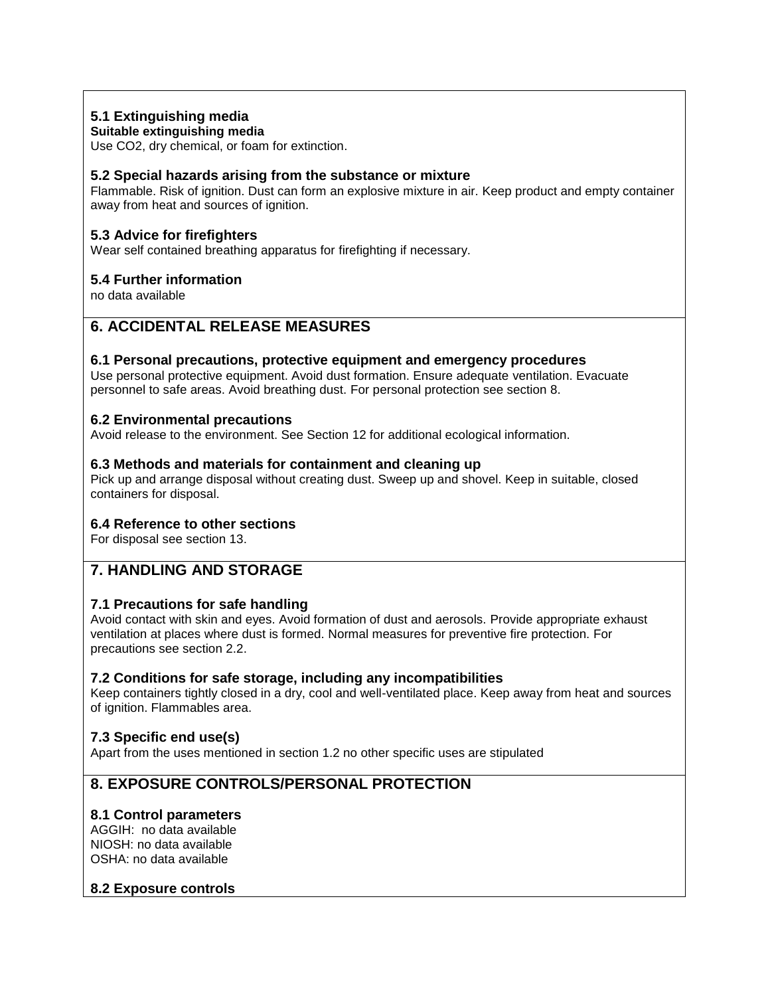## **5.1 Extinguishing media**

#### **Suitable extinguishing media**

Use CO2, dry chemical, or foam for extinction.

## **5.2 Special hazards arising from the substance or mixture**

Flammable. Risk of ignition. Dust can form an explosive mixture in air. Keep product and empty container away from heat and sources of ignition.

## **5.3 Advice for firefighters**

Wear self contained breathing apparatus for firefighting if necessary.

### **5.4 Further information**

no data available

# **6. ACCIDENTAL RELEASE MEASURES**

#### **6.1 Personal precautions, protective equipment and emergency procedures**

Use personal protective equipment. Avoid dust formation. Ensure adequate ventilation. Evacuate personnel to safe areas. Avoid breathing dust. For personal protection see section 8.

### **6.2 Environmental precautions**

Avoid release to the environment. See Section 12 for additional ecological information.

### **6.3 Methods and materials for containment and cleaning up**

Pick up and arrange disposal without creating dust. Sweep up and shovel. Keep in suitable, closed containers for disposal.

#### **6.4 Reference to other sections**

For disposal see section 13.

# **7. HANDLING AND STORAGE**

## **7.1 Precautions for safe handling**

Avoid contact with skin and eyes. Avoid formation of dust and aerosols. Provide appropriate exhaust ventilation at places where dust is formed. Normal measures for preventive fire protection. For precautions see section 2.2.

#### **7.2 Conditions for safe storage, including any incompatibilities**

Keep containers tightly closed in a dry, cool and well-ventilated place. Keep away from heat and sources of ignition. Flammables area.

## **7.3 Specific end use(s)**

Apart from the uses mentioned in section 1.2 no other specific uses are stipulated

# **8. EXPOSURE CONTROLS/PERSONAL PROTECTION**

#### **8.1 Control parameters**

AGGIH: no data available NIOSH: no data available OSHA: no data available

#### **8.2 Exposure controls**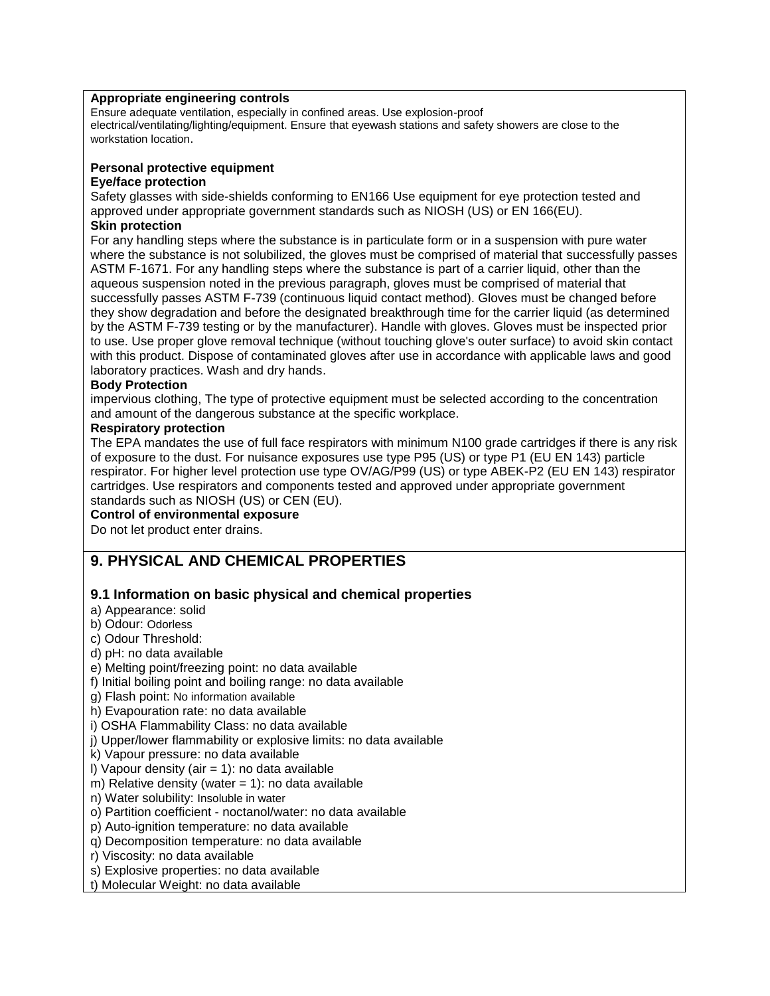#### **Appropriate engineering controls**

Ensure adequate ventilation, especially in confined areas. Use explosion-proof electrical/ventilating/lighting/equipment. Ensure that eyewash stations and safety showers are close to the workstation location.

#### **Personal protective equipment**

#### **Eye/face protection**

Safety glasses with side-shields conforming to EN166 Use equipment for eye protection tested and approved under appropriate government standards such as NIOSH (US) or EN 166(EU).

### **Skin protection**

For any handling steps where the substance is in particulate form or in a suspension with pure water where the substance is not solubilized, the gloves must be comprised of material that successfully passes ASTM F-1671. For any handling steps where the substance is part of a carrier liquid, other than the aqueous suspension noted in the previous paragraph, gloves must be comprised of material that successfully passes ASTM F-739 (continuous liquid contact method). Gloves must be changed before they show degradation and before the designated breakthrough time for the carrier liquid (as determined by the ASTM F-739 testing or by the manufacturer). Handle with gloves. Gloves must be inspected prior to use. Use proper glove removal technique (without touching glove's outer surface) to avoid skin contact with this product. Dispose of contaminated gloves after use in accordance with applicable laws and good laboratory practices. Wash and dry hands.

#### **Body Protection**

impervious clothing, The type of protective equipment must be selected according to the concentration and amount of the dangerous substance at the specific workplace.

#### **Respiratory protection**

The EPA mandates the use of full face respirators with minimum N100 grade cartridges if there is any risk of exposure to the dust. For nuisance exposures use type P95 (US) or type P1 (EU EN 143) particle respirator. For higher level protection use type OV/AG/P99 (US) or type ABEK-P2 (EU EN 143) respirator cartridges. Use respirators and components tested and approved under appropriate government standards such as NIOSH (US) or CEN (EU).

#### **Control of environmental exposure**

Do not let product enter drains.

# **9. PHYSICAL AND CHEMICAL PROPERTIES**

## **9.1 Information on basic physical and chemical properties**

- a) Appearance: solid
- b) Odour: Odorless

c) Odour Threshold:

- d) pH: no data available
- e) Melting point/freezing point: no data available
- f) Initial boiling point and boiling range: no data available

g) Flash point: No information available

h) Evapouration rate: no data available

i) OSHA Flammability Class: no data available

j) Upper/lower flammability or explosive limits: no data available

k) Vapour pressure: no data available

I) Vapour density (air  $= 1$ ): no data available

m) Relative density (water  $= 1$ ): no data available

n) Water solubility: Insoluble in water

o) Partition coefficient - noctanol/water: no data available

p) Auto-ignition temperature: no data available

q) Decomposition temperature: no data available

- r) Viscosity: no data available
- s) Explosive properties: no data available

t) Molecular Weight: no data available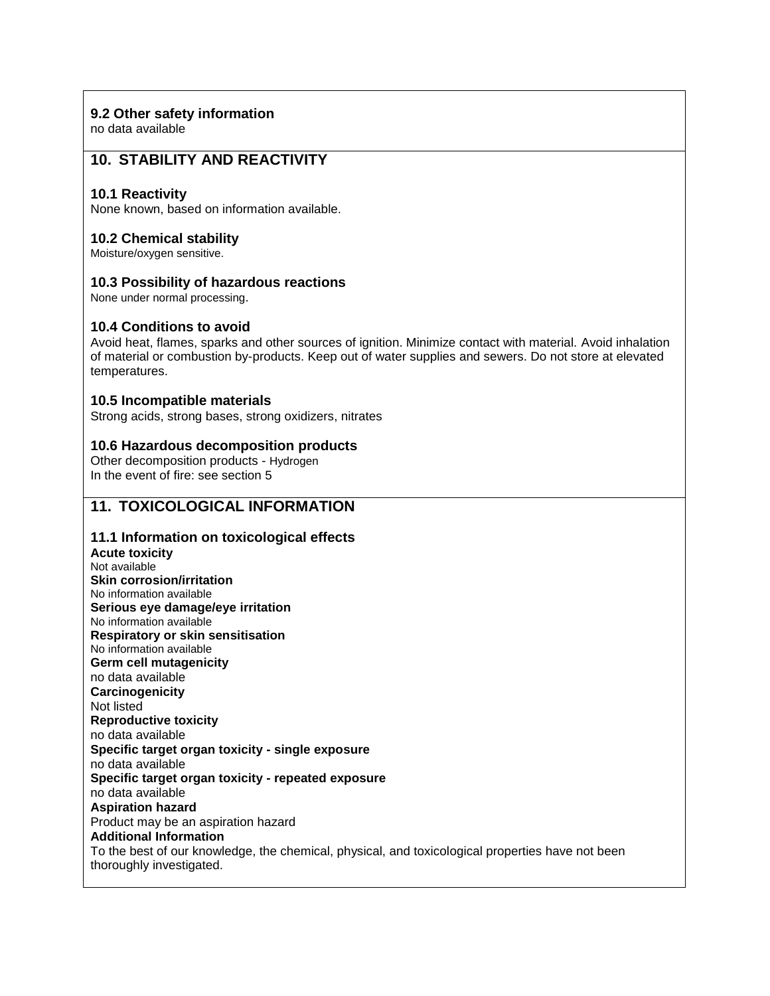## **9.2 Other safety information**

no data available

# **10. STABILITY AND REACTIVITY**

#### **10.1 Reactivity**

None known, based on information available.

#### **10.2 Chemical stability**

Moisture/oxygen sensitive.

### **10.3 Possibility of hazardous reactions**

None under normal processing.

### **10.4 Conditions to avoid**

Avoid heat, flames, sparks and other sources of ignition. Minimize contact with material. Avoid inhalation of material or combustion by-products. Keep out of water supplies and sewers. Do not store at elevated temperatures.

### **10.5 Incompatible materials**

Strong acids, strong bases, strong oxidizers, nitrates

### **10.6 Hazardous decomposition products**

Other decomposition products - Hydrogen In the event of fire: see section 5

# **11. TOXICOLOGICAL INFORMATION**

## **11.1 Information on toxicological effects**

**Acute toxicity** Not available **Skin corrosion/irritation** No information available **Serious eye damage/eye irritation** No information available **Respiratory or skin sensitisation** No information available **Germ cell mutagenicity** no data available **Carcinogenicity** Not listed **Reproductive toxicity** no data available **Specific target organ toxicity - single exposure** no data available **Specific target organ toxicity - repeated exposure** no data available **Aspiration hazard** Product may be an aspiration hazard **Additional Information** To the best of our knowledge, the chemical, physical, and toxicological properties have not been thoroughly investigated.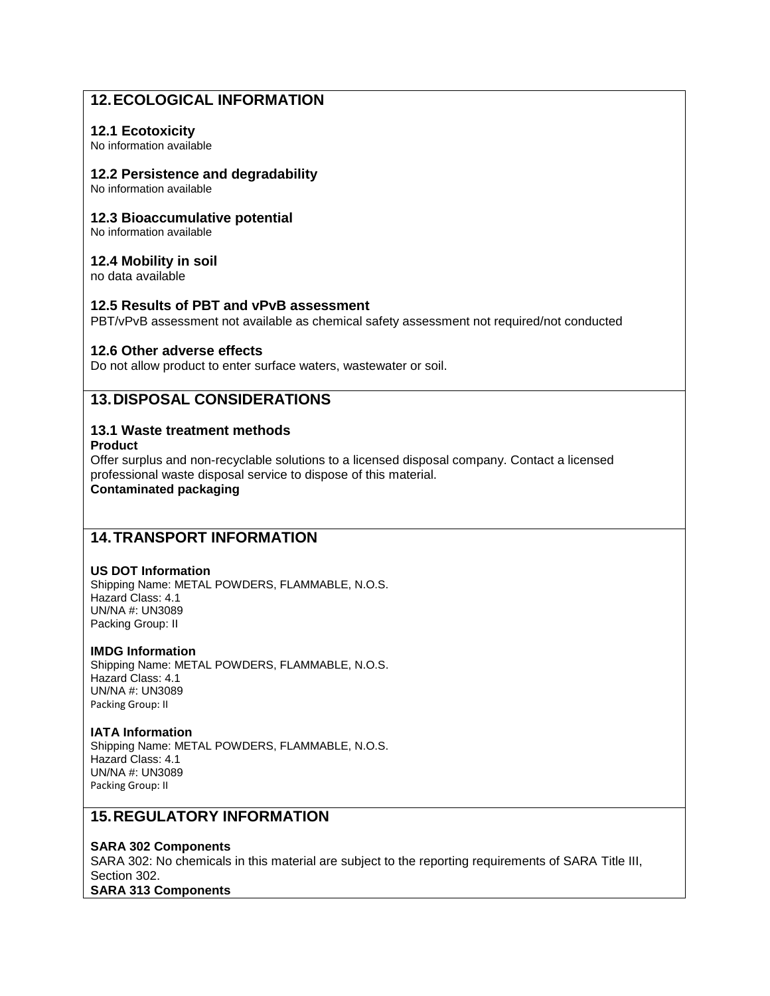# **12.ECOLOGICAL INFORMATION**

#### **12.1 Ecotoxicity**

No information available

#### **12.2 Persistence and degradability**

No information available

#### **12.3 Bioaccumulative potential**

No information available

#### **12.4 Mobility in soil**

no data available

#### **12.5 Results of PBT and vPvB assessment**

PBT/vPvB assessment not available as chemical safety assessment not required/not conducted

#### **12.6 Other adverse effects**

Do not allow product to enter surface waters, wastewater or soil.

# **13.DISPOSAL CONSIDERATIONS**

#### **13.1 Waste treatment methods Product**

Offer surplus and non-recyclable solutions to a licensed disposal company. Contact a licensed professional waste disposal service to dispose of this material. **Contaminated packaging**

# **14.TRANSPORT INFORMATION**

#### **US DOT Information**

Shipping Name: METAL POWDERS, FLAMMABLE, N.O.S. Hazard Class: 4.1 UN/NA #: UN3089 Packing Group: II

#### **IMDG Information**

Shipping Name: METAL POWDERS, FLAMMABLE, N.O.S. Hazard Class: 4.1 UN/NA #: UN3089 Packing Group: II

#### **IATA Information**

Shipping Name: METAL POWDERS, FLAMMABLE, N.O.S. Hazard Class: 4.1 UN/NA #: UN3089 Packing Group: II

# **15.REGULATORY INFORMATION**

#### **SARA 302 Components**

SARA 302: No chemicals in this material are subject to the reporting requirements of SARA Title III, Section 302. **SARA 313 Components**